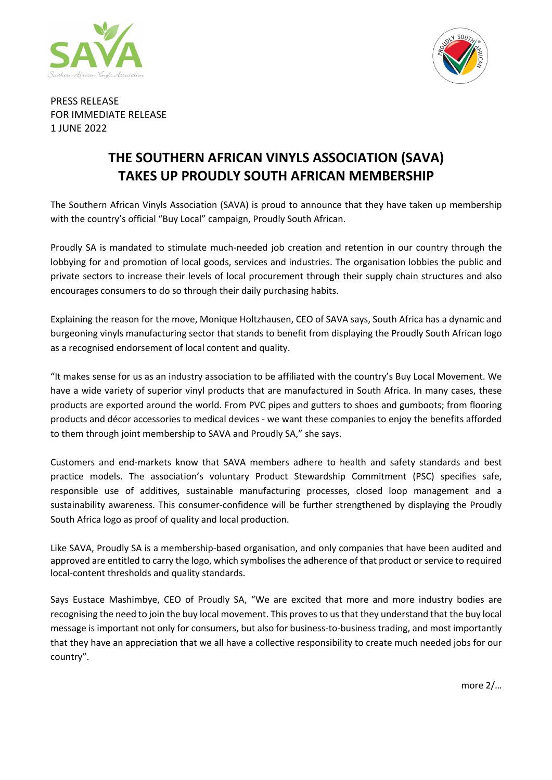



PRESS RELEASE FOR IMMEDIATE RELEASE 1 JUNE 2022

## **THE SOUTHERN AFRICAN VINYLS ASSOCIATION (SAVA) TAKES UP PROUDLY SOUTH AFRICAN MEMBERSHIP**

The Southern African Vinyls Association (SAVA) is proud to announce that they have taken up membership with the country's official "Buy Local" campaign, Proudly South African.

Proudly SA is mandated to stimulate much-needed job creation and retention in our country through the lobbying for and promotion of local goods, services and industries. The organisation lobbies the public and private sectors to increase their levels of local procurement through their supply chain structures and also encourages consumers to do so through their daily purchasing habits.

Explaining the reason for the move, Monique Holtzhausen, CEO of SAVA says, South Africa has a dynamic and burgeoning vinyls manufacturing sector that stands to benefit from displaying the Proudly South African logo as a recognised endorsement of local content and quality.

"It makes sense for us as an industry association to be affiliated with the country's Buy Local Movement. We have a wide variety of superior vinyl products that are manufactured in South Africa. In many cases, these products are exported around the world. From PVC pipes and gutters to shoes and gumboots; from flooring products and décor accessories to medical devices - we want these companies to enjoy the benefits afforded to them through joint membership to SAVA and Proudly SA," she says.

Customers and end-markets know that SAVA members adhere to health and safety standards and best practice models. The association's voluntary Product Stewardship Commitment (PSC) specifies safe, responsible use of additives, sustainable manufacturing processes, closed loop management and a sustainability awareness. This consumer-confidence will be further strengthened by displaying the Proudly South Africa logo as proof of quality and local production.

Like SAVA, Proudly SA is a membership-based organisation, and only companies that have been audited and approved are entitled to carry the logo, which symbolises the adherence of that product or service to required local-content thresholds and quality standards.

Says Eustace Mashimbye, CEO of Proudly SA, "We are excited that more and more industry bodies are recognising the need to join the buy local movement. This proves to us that they understand that the buy local message is important not only for consumers, but also for business-to-business trading, and most importantly that they have an appreciation that we all have a collective responsibility to create much needed jobs for our country".